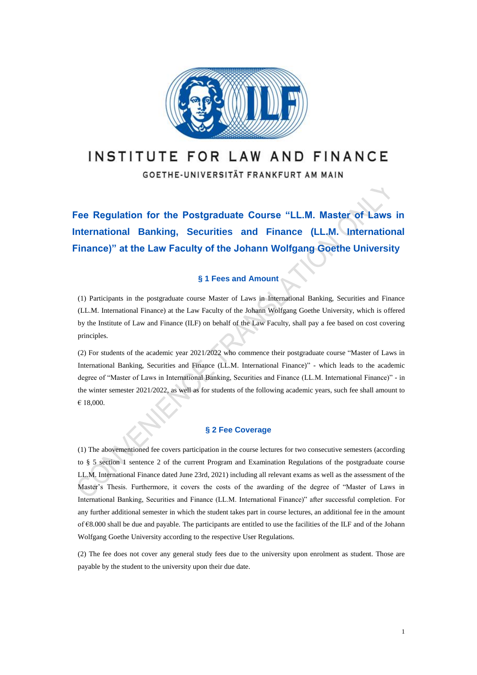

# INSTITUTE FOR LAW AND FINANCE

GOETHE-UNIVERSITÄT FRANKFURT AM MAIN

**Fee Regulation for the Postgraduate Course "LL.M. Master of Laws in International Banking, Securities and Finance (LL.M. International Finance)" at the Law Faculty of the Johann Wolfgang Goethe University**

### **§ 1 Fees and Amount**

(1) Participants in the postgraduate course Master of Laws in International Banking, Securities and Finance (LL.M. International Finance) at the Law Faculty of the Johann Wolfgang Goethe University, which is offered by the Institute of Law and Finance (ILF) on behalf of the Law Faculty, shall pay a fee based on cost covering principles.

(2) For students of the academic year 2021/2022 who commence their postgraduate course "Master of Laws in International Banking, Securities and Finance (LL.M. International Finance)" - which leads to the academic degree of "Master of Laws in International Banking, Securities and Finance (LL.M. International Finance)" - in the winter semester 2021/2022, as well as for students of the following academic years, such fee shall amount to € 18,000.

#### **§ 2 Fee Coverage**

(1) The abovementioned fee covers participation in the course lectures for two consecutive semesters (according to § 5 section 1 sentence 2 of the current Program and Examination Regulations of the postgraduate course LL.M. International Finance dated June 23rd, 2021) including all relevant exams as well as the assessment of the Master's Thesis. Furthermore, it covers the costs of the awarding of the degree of "Master of Laws in International Banking, Securities and Finance (LL.M. International Finance)" after successful completion. For any further additional semester in which the student takes part in course lectures, an additional fee in the amount of €8.000 shall be due and payable. The participants are entitled to use the facilities of the ILF and of the Johann Wolfgang Goethe University according to the respective User Regulations.

(2) The fee does not cover any general study fees due to the university upon enrolment as student. Those are payable by the student to the university upon their due date.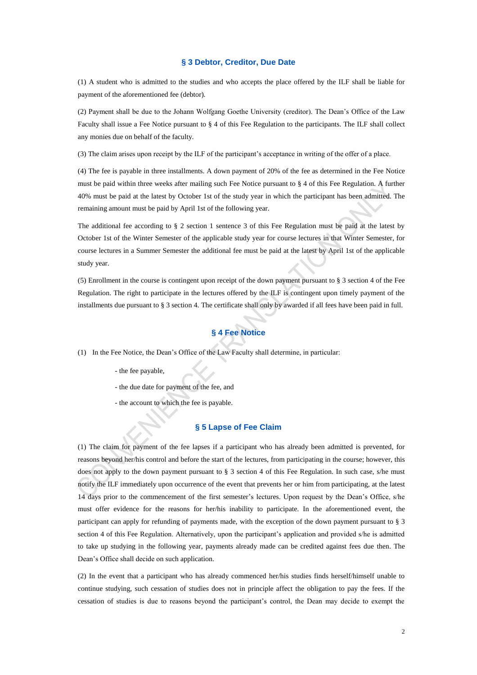#### **§ 3 Debtor, Creditor, Due Date**

(1) A student who is admitted to the studies and who accepts the place offered by the ILF shall be liable for payment of the aforementioned fee (debtor).

(2) Payment shall be due to the Johann Wolfgang Goethe University (creditor). The Dean's Office of the Law Faculty shall issue a Fee Notice pursuant to § 4 of this Fee Regulation to the participants. The ILF shall collect any monies due on behalf of the faculty.

(3) The claim arises upon receipt by the ILF of the participant's acceptance in writing of the offer of a place.

(4) The fee is payable in three installments. A down payment of 20% of the fee as determined in the Fee Notice must be paid within three weeks after mailing such Fee Notice pursuant to § 4 of this Fee Regulation. A further 40% must be paid at the latest by October 1st of the study year in which the participant has been admitted. The remaining amount must be paid by April 1st of the following year.

The additional fee according to § 2 section 1 sentence 3 of this Fee Regulation must be paid at the latest by October 1st of the Winter Semester of the applicable study year for course lectures in that Winter Semester, for course lectures in a Summer Semester the additional fee must be paid at the latest by April 1st of the applicable study year.

(5) Enrollment in the course is contingent upon receipt of the down payment pursuant to § 3 section 4 of the Fee Regulation. The right to participate in the lectures offered by the ILF is contingent upon timely payment of the installments due pursuant to § 3 section 4. The certificate shall only by awarded if all fees have been paid in full.

## **§ 4 Fee Notice**

(1) In the Fee Notice, the Dean's Office of the Law Faculty shall determine, in particular:

- the fee payable,
- the due date for payment of the fee, and
- the account to which the fee is payable.

#### **§ 5 Lapse of Fee Claim**

(1) The claim for payment of the fee lapses if a participant who has already been admitted is prevented, for reasons beyond her/his control and before the start of the lectures, from participating in the course; however, this does not apply to the down payment pursuant to § 3 section 4 of this Fee Regulation. In such case, s/he must notify the ILF immediately upon occurrence of the event that prevents her or him from participating, at the latest 14 days prior to the commencement of the first semester's lectures. Upon request by the Dean's Office, s/he must offer evidence for the reasons for her/his inability to participate. In the aforementioned event, the participant can apply for refunding of payments made, with the exception of the down payment pursuant to § 3 section 4 of this Fee Regulation. Alternatively, upon the participant's application and provided s/he is admitted to take up studying in the following year, payments already made can be credited against fees due then. The Dean's Office shall decide on such application.

(2) In the event that a participant who has already commenced her/his studies finds herself/himself unable to continue studying, such cessation of studies does not in principle affect the obligation to pay the fees. If the cessation of studies is due to reasons beyond the participant's control, the Dean may decide to exempt the